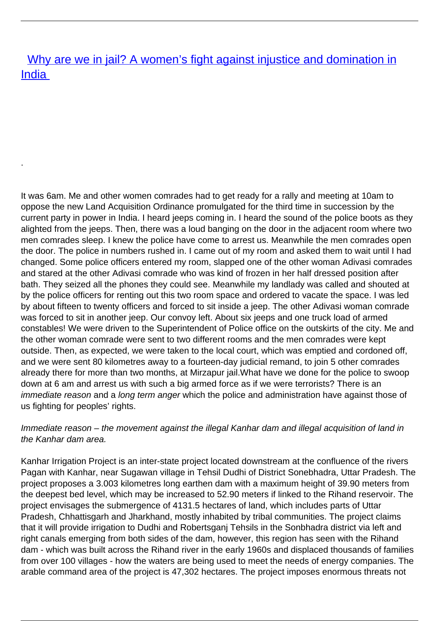[Why are we in jail? A women's fight against injustice and domination in](/bulletin-articles/why-are-we-in-jail-a-womens-fight-against-injustice-and-domination-in-india) [India](/bulletin-articles/why-are-we-in-jail-a-womens-fight-against-injustice-and-domination-in-india)

.

It was 6am. Me and other women comrades had to get ready for a rally and meeting at 10am to oppose the new Land Acquisition Ordinance promulgated for the third time in succession by the current party in power in India. I heard jeeps coming in. I heard the sound of the police boots as they alighted from the jeeps. Then, there was a loud banging on the door in the adjacent room where two men comrades sleep. I knew the police have come to arrest us. Meanwhile the men comrades open the door. The police in numbers rushed in. I came out of my room and asked them to wait until I had changed. Some police officers entered my room, slapped one of the other woman Adivasi comrades and stared at the other Adivasi comrade who was kind of frozen in her half dressed position after bath. They seized all the phones they could see. Meanwhile my landlady was called and shouted at by the police officers for renting out this two room space and ordered to vacate the space. I was led by about fifteen to twenty officers and forced to sit inside a jeep. The other Adivasi woman comrade was forced to sit in another jeep. Our convoy left. About six jeeps and one truck load of armed constables! We were driven to the Superintendent of Police office on the outskirts of the city. Me and the other woman comrade were sent to two different rooms and the men comrades were kept outside. Then, as expected, we were taken to the local court, which was emptied and cordoned off, and we were sent 80 kilometres away to a fourteen-day judicial remand, to join 5 other comrades already there for more than two months, at Mirzapur jail.What have we done for the police to swoop down at 6 am and arrest us with such a big armed force as if we were terrorists? There is an immediate reason and a long term anger which the police and administration have against those of us fighting for peoples' rights.

## Immediate reason – the movement against the illegal Kanhar dam and illegal acquisition of land in the Kanhar dam area.

Kanhar Irrigation Project is an inter-state project located downstream at the confluence of the rivers Pagan with Kanhar, near Sugawan village in Tehsil Dudhi of District Sonebhadra, Uttar Pradesh. The project proposes a 3.003 kilometres long earthen dam with a maximum height of 39.90 meters from the deepest bed level, which may be increased to 52.90 meters if linked to the Rihand reservoir. The project envisages the submergence of 4131.5 hectares of land, which includes parts of Uttar Pradesh, Chhattisgarh and Jharkhand, mostly inhabited by tribal communities. The project claims that it will provide irrigation to Dudhi and Robertsganj Tehsils in the Sonbhadra district via left and right canals emerging from both sides of the dam, however, this region has seen with the Rihand dam - which was built across the Rihand river in the early 1960s and displaced thousands of families from over 100 villages - how the waters are being used to meet the needs of energy companies. The arable command area of the project is 47,302 hectares. The project imposes enormous threats not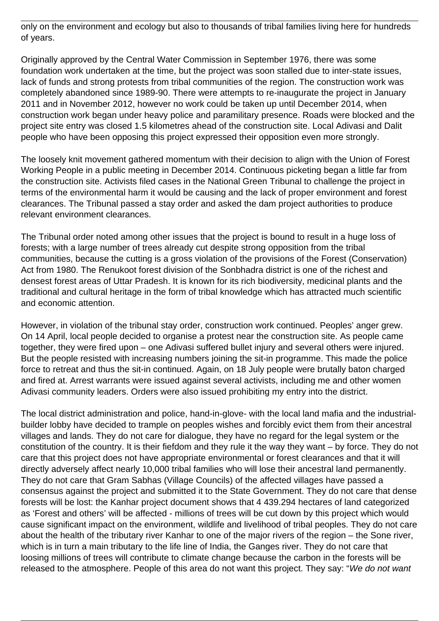only on the environment and ecology but also to thousands of tribal families living here for hundreds of years.

Originally approved by the Central Water Commission in September 1976, there was some foundation work undertaken at the time, but the project was soon stalled due to inter-state issues, lack of funds and strong protests from tribal communities of the region. The construction work was completely abandoned since 1989-90. There were attempts to re-inaugurate the project in January 2011 and in November 2012, however no work could be taken up until December 2014, when construction work began under heavy police and paramilitary presence. Roads were blocked and the project site entry was closed 1.5 kilometres ahead of the construction site. Local Adivasi and Dalit people who have been opposing this project expressed their opposition even more strongly.

The loosely knit movement gathered momentum with their decision to align with the Union of Forest Working People in a public meeting in December 2014. Continuous picketing began a little far from the construction site. Activists filed cases in the National Green Tribunal to challenge the project in terms of the environmental harm it would be causing and the lack of proper environment and forest clearances. The Tribunal passed a stay order and asked the dam project authorities to produce relevant environment clearances.

The Tribunal order noted among other issues that the project is bound to result in a huge loss of forests; with a large number of trees already cut despite strong opposition from the tribal communities, because the cutting is a gross violation of the provisions of the Forest (Conservation) Act from 1980. The Renukoot forest division of the Sonbhadra district is one of the richest and densest forest areas of Uttar Pradesh. It is known for its rich biodiversity, medicinal plants and the traditional and cultural heritage in the form of tribal knowledge which has attracted much scientific and economic attention.

However, in violation of the tribunal stay order, construction work continued. Peoples' anger grew. On 14 April, local people decided to organise a protest near the construction site. As people came together, they were fired upon – one Adivasi suffered bullet injury and several others were injured. But the people resisted with increasing numbers joining the sit-in programme. This made the police force to retreat and thus the sit-in continued. Again, on 18 July people were brutally baton charged and fired at. Arrest warrants were issued against several activists, including me and other women Adivasi community leaders. Orders were also issued prohibiting my entry into the district.

The local district administration and police, hand-in-glove- with the local land mafia and the industrialbuilder lobby have decided to trample on peoples wishes and forcibly evict them from their ancestral villages and lands. They do not care for dialogue, they have no regard for the legal system or the constitution of the country. It is their fiefdom and they rule it the way they want – by force. They do not care that this project does not have appropriate environmental or forest clearances and that it will directly adversely affect nearly 10,000 tribal families who will lose their ancestral land permanently. They do not care that Gram Sabhas (Village Councils) of the affected villages have passed a consensus against the project and submitted it to the State Government. They do not care that dense forests will be lost: the Kanhar project document shows that 4 439.294 hectares of land categorized as 'Forest and others' will be affected - millions of trees will be cut down by this project which would cause significant impact on the environment, wildlife and livelihood of tribal peoples. They do not care about the health of the tributary river Kanhar to one of the major rivers of the region – the Sone river, which is in turn a main tributary to the life line of India, the Ganges river. They do not care that loosing millions of trees will contribute to climate change because the carbon in the forests will be released to the atmosphere. People of this area do not want this project. They say: "We do not want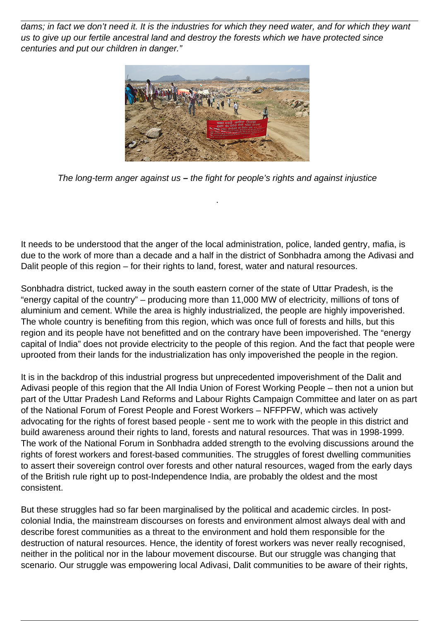dams; in fact we don't need it. It is the industries for which they need water, and for which they want us to give up our fertile ancestral land and destroy the forests which we have protected since centuries and put our children in danger."



The long-term anger against us **–** the fight for people's rights and against injustice

.

It needs to be understood that the anger of the local administration, police, landed gentry, mafia, is due to the work of more than a decade and a half in the district of Sonbhadra among the Adivasi and Dalit people of this region – for their rights to land, forest, water and natural resources.

Sonbhadra district, tucked away in the south eastern corner of the state of Uttar Pradesh, is the "energy capital of the country" – producing more than 11,000 MW of electricity, millions of tons of aluminium and cement. While the area is highly industrialized, the people are highly impoverished. The whole country is benefiting from this region, which was once full of forests and hills, but this region and its people have not benefitted and on the contrary have been impoverished. The "energy capital of India" does not provide electricity to the people of this region. And the fact that people were uprooted from their lands for the industrialization has only impoverished the people in the region.

It is in the backdrop of this industrial progress but unprecedented impoverishment of the Dalit and Adivasi people of this region that the All India Union of Forest Working People – then not a union but part of the Uttar Pradesh Land Reforms and Labour Rights Campaign Committee and later on as part of the National Forum of Forest People and Forest Workers – NFFPFW, which was actively advocating for the rights of forest based people - sent me to work with the people in this district and build awareness around their rights to land, forests and natural resources. That was in 1998-1999. The work of the National Forum in Sonbhadra added strength to the evolving discussions around the rights of forest workers and forest-based communities. The struggles of forest dwelling communities to assert their sovereign control over forests and other natural resources, waged from the early days of the British rule right up to post-Independence India, are probably the oldest and the most consistent.

But these struggles had so far been marginalised by the political and academic circles. In postcolonial India, the mainstream discourses on forests and environment almost always deal with and describe forest communities as a threat to the environment and hold them responsible for the destruction of natural resources. Hence, the identity of forest workers was never really recognised, neither in the political nor in the labour movement discourse. But our struggle was changing that scenario. Our struggle was empowering local Adivasi, Dalit communities to be aware of their rights,